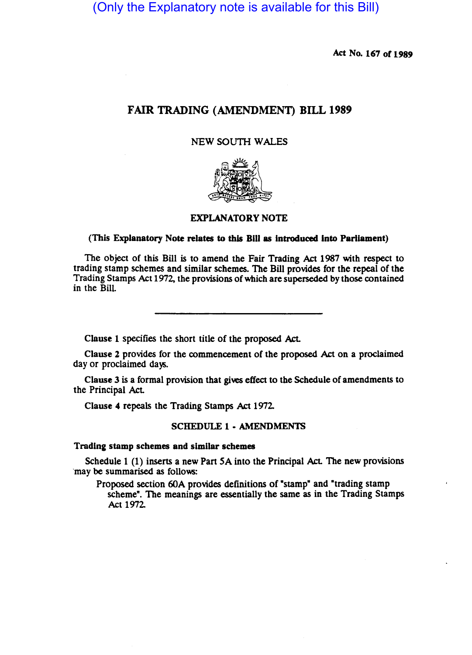(Only the Explanatory note is available for this Bill)

Act No. 167 of 1989

# FAIR TRADING (AMENDMENT) BILL 1989

# NEW SOUTH WALES



# EXPLANATORY NOTE

### (This Explanatory Note relates to this Bill as Introduced Into Parliament)

The object of this Bill is to amend the Fair Trading Act 1987 with respect to trading stamp schemes and similar schemes. The Bill provides for the repeal of the Trading Stamps Act 1972, the provisions of which are superseded by those contained in the Bill.

Clause 1 specifies the short title of the proposed Act.

Clause 2 provides for the commencement of the proposed Act on a proclaimed day or proclaimed days.

Clause 3 is a formal provision that gives effect to the Schedule of amendments to the Principal Act

Clause 4 repeals the Trading Stamps Act 1972

#### SCHEDULE 1 • AMENDMENTS

#### Trading stamp schemes and similar schemes

Schedule 1 (1) inserts a new Part 5A into the Principal Act. The new provisions 'may be summarised as follows:

Proposed section 60A provides definitions of "stamp" and "trading stamp scheme". The meanings are essentially the same as in the Trading Stamps Act 1972